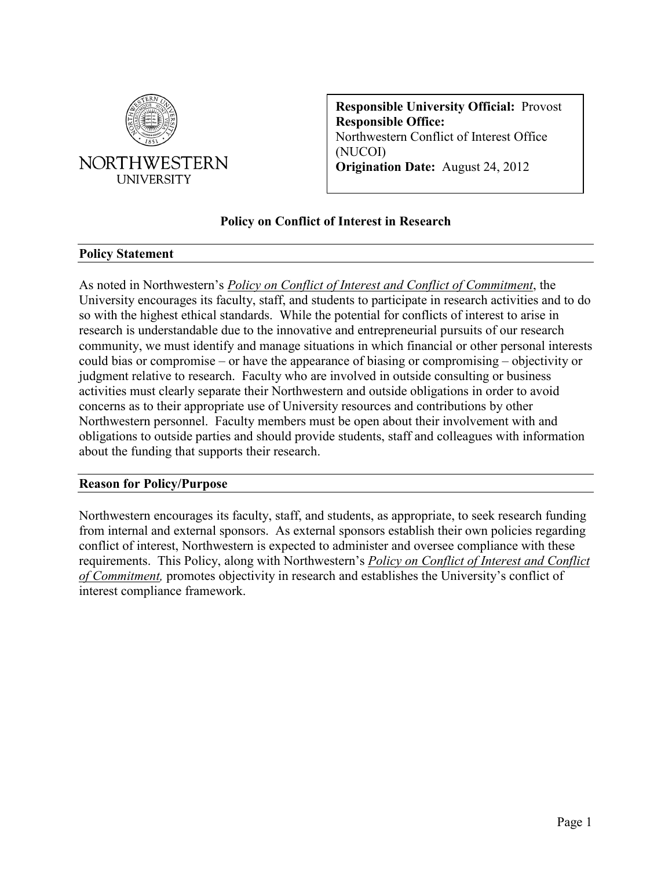

**Responsible University Official:** Provost **Responsible Office:** Northwestern Conflict of Interest Office (NUCOI) **Origination Date:** August 24, 2012

# **Policy on Conflict of Interest in Research**

#### <span id="page-0-0"></span>**Policy Statement**

As noted in Northwestern's *[Policy on Conflict of Interest and Conflict of Commitment](https://www.northwestern.edu/coi/docs/core_coi_policy.pdf)*, the University encourages its faculty, staff, and students to participate in research activities and to do so with the highest ethical standards. While the potential for conflicts of interest to arise in research is understandable due to the innovative and entrepreneurial pursuits of our research community, we must identify and manage situations in which financial or other personal interests could bias or compromise – or have the appearance of biasing or compromising – objectivity or judgment relative to research. Faculty who are involved in outside consulting or business activities must clearly separate their Northwestern and outside obligations in order to avoid concerns as to their appropriate use of University resources and contributions by other Northwestern personnel. Faculty members must be open about their involvement with and obligations to outside parties and should provide students, staff and colleagues with information about the funding that supports their research.

#### <span id="page-0-1"></span>**Reason for Policy/Purpose**

Northwestern encourages its faculty, staff, and students, as appropriate, to seek research funding from internal and external sponsors. As external sponsors establish their own policies regarding conflict of interest, Northwestern is expected to administer and oversee compliance with these requirements. This Policy, along with Northwestern's *[Policy on Conflict of Interest and Conflict](https://www.northwestern.edu/coi/docs/core_coi_policy.pdf)  [of Commitment,](https://www.northwestern.edu/coi/docs/core_coi_policy.pdf)* promotes objectivity in research and establishes the University's conflict of interest compliance framework.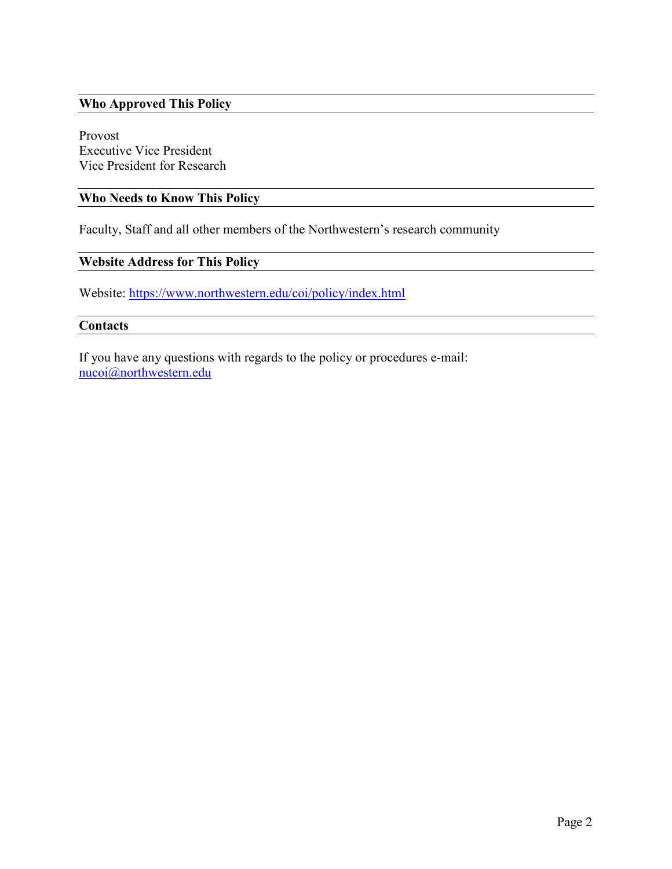# <span id="page-1-0"></span>**Who Approved This Policy**

Provost Executive Vice President Vice President for Research

# <span id="page-1-1"></span>**Who Needs to Know This Policy**

Faculty, Staff and all other members of the Northwestern's research community

# <span id="page-1-2"></span>**Website Address for This Policy**

Website:<https://www.northwestern.edu/coi/policy/index.html>

#### <span id="page-1-3"></span>**Contacts**

If you have any questions with regards to the policy or procedures e-mail: [nucoi@northwestern.edu](mailto:nucoi@northwestern.edu)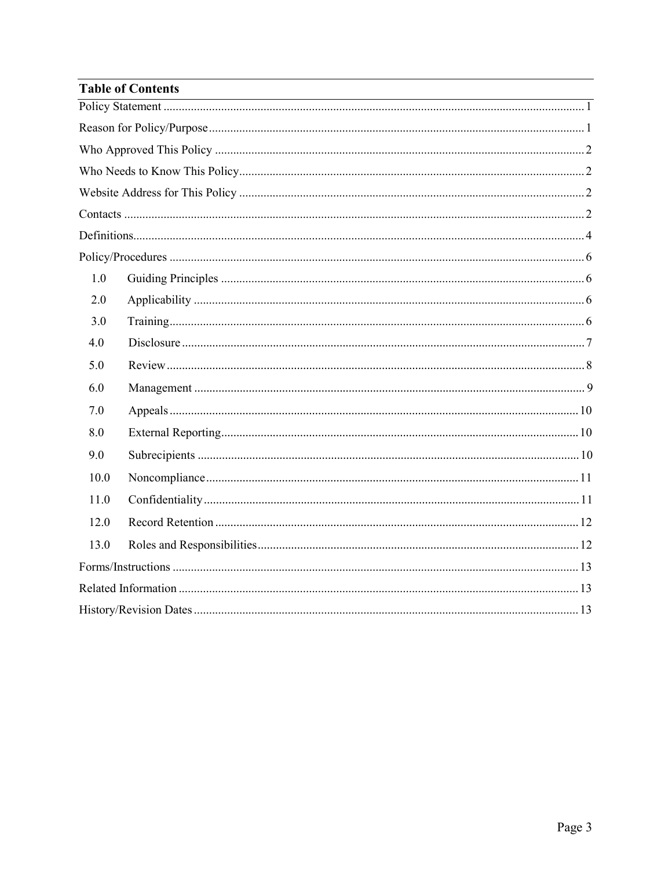| <b>Table of Contents</b> |  |  |
|--------------------------|--|--|
|                          |  |  |
|                          |  |  |
|                          |  |  |
|                          |  |  |
|                          |  |  |
|                          |  |  |
|                          |  |  |
|                          |  |  |
| 1.0                      |  |  |
| 2.0                      |  |  |
| 3.0                      |  |  |
| 4.0                      |  |  |
| 5.0                      |  |  |
| 6.0                      |  |  |
| 7.0                      |  |  |
| 8.0                      |  |  |
| 9.0                      |  |  |
| 10.0                     |  |  |
| 11.0                     |  |  |
| 12.0                     |  |  |
| 13.0                     |  |  |
|                          |  |  |
|                          |  |  |
|                          |  |  |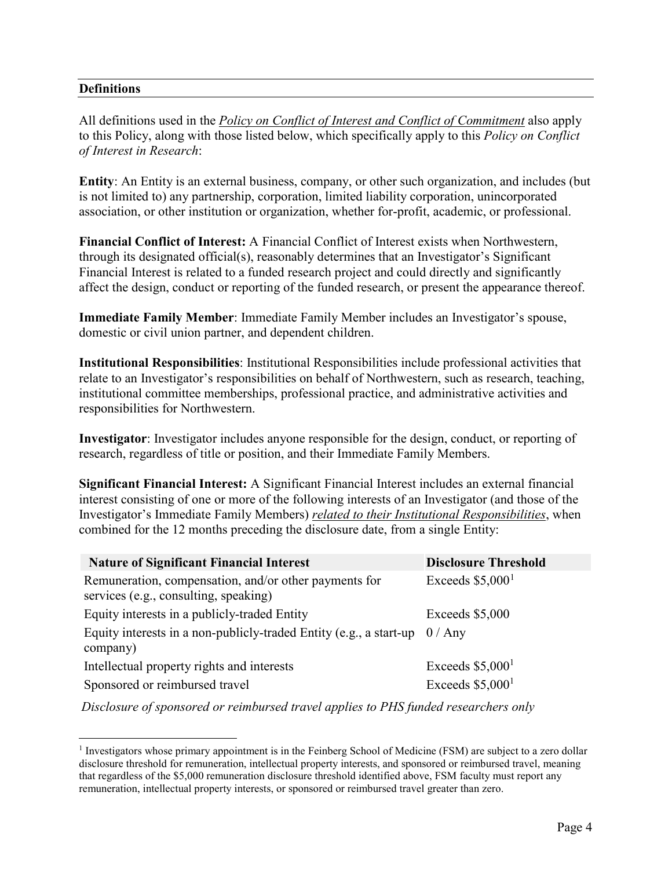# <span id="page-3-0"></span>**Definitions**

All definitions used in the *[Policy on Conflict of Interest and Conflict of Commitment](https://www.northwestern.edu/coi/docs/core_coi_policy.pdf)* also apply to this Policy, along with those listed below, which specifically apply to this *Policy on Conflict of Interest in Research*:

**Entity**: An Entity is an external business, company, or other such organization, and includes (but is not limited to) any partnership, corporation, limited liability corporation, unincorporated association, or other institution or organization, whether for-profit, academic, or professional.

**Financial Conflict of Interest:** A Financial Conflict of Interest exists when Northwestern, through its designated official(s), reasonably determines that an Investigator's Significant Financial Interest is related to a funded research project and could directly and significantly affect the design, conduct or reporting of the funded research, or present the appearance thereof.

**Immediate Family Member**: Immediate Family Member includes an Investigator's spouse, domestic or civil union partner, and dependent children.

**Institutional Responsibilities**: Institutional Responsibilities include professional activities that relate to an Investigator's responsibilities on behalf of Northwestern, such as research, teaching, institutional committee memberships, professional practice, and administrative activities and responsibilities for Northwestern.

**Investigator**: Investigator includes anyone responsible for the design, conduct, or reporting of research, regardless of title or position, and their Immediate Family Members.

**Significant Financial Interest:** A Significant Financial Interest includes an external financial interest consisting of one or more of the following interests of an Investigator (and those of the Investigator's Immediate Family Members) *related to their Institutional Responsibilities*, when combined for the 12 months preceding the disclosure date, from a single Entity:

| <b>Nature of Significant Financial Interest</b>                                                | <b>Disclosure Threshold</b>   |
|------------------------------------------------------------------------------------------------|-------------------------------|
| Remuneration, compensation, and/or other payments for<br>services (e.g., consulting, speaking) | Exceeds $$5,0001$             |
| Equity interests in a publicly-traded Entity                                                   | Exceeds \$5,000               |
| Equity interests in a non-publicly-traded Entity (e.g., a start-up $0 / Any$<br>company)       |                               |
| Intellectual property rights and interests                                                     | Exceeds $$5,0001$             |
| Sponsored or reimbursed travel                                                                 | Exceeds $$5,000$ <sup>1</sup> |

*Disclosure of sponsored or reimbursed travel applies to PHS funded researchers only*

<span id="page-3-1"></span><sup>&</sup>lt;sup>1</sup> Investigators whose primary appointment is in the Feinberg School of Medicine (FSM) are subject to a zero dollar disclosure threshold for remuneration, intellectual property interests, and sponsored or reimbursed travel, meaning that regardless of the \$5,000 remuneration disclosure threshold identified above, FSM faculty must report any remuneration, intellectual property interests, or sponsored or reimbursed travel greater than zero.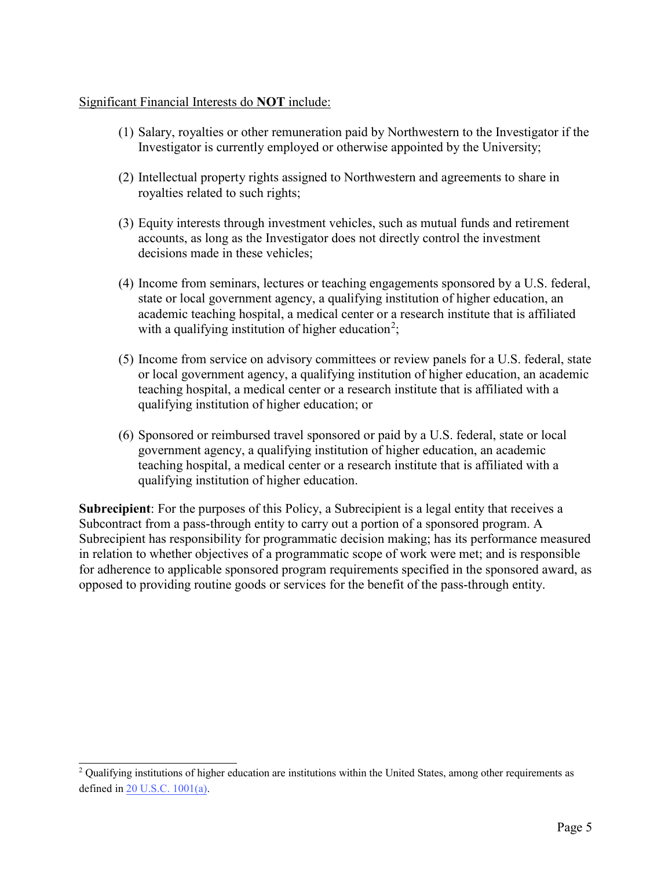### Significant Financial Interests do **NOT** include:

- (1) Salary, royalties or other remuneration paid by Northwestern to the Investigator if the Investigator is currently employed or otherwise appointed by the University;
- (2) Intellectual property rights assigned to Northwestern and agreements to share in royalties related to such rights;
- (3) Equity interests through investment vehicles, such as mutual funds and retirement accounts, as long as the Investigator does not directly control the investment decisions made in these vehicles;
- (4) Income from seminars, lectures or teaching engagements sponsored by a U.S. federal, state or local government agency, a qualifying institution of higher education, an academic teaching hospital, a medical center or a research institute that is affiliated with a qualifying institution of higher education<sup>[2](#page-4-0)</sup>;
- (5) Income from service on advisory committees or review panels for a U.S. federal, state or local government agency, a qualifying institution of higher education, an academic teaching hospital, a medical center or a research institute that is affiliated with a qualifying institution of higher education; or
- (6) Sponsored or reimbursed travel sponsored or paid by a U.S. federal, state or local government agency, a qualifying institution of higher education, an academic teaching hospital, a medical center or a research institute that is affiliated with a qualifying institution of higher education.

**Subrecipient**: For the purposes of this Policy, a Subrecipient is a legal entity that receives a Subcontract from a pass-through entity to carry out a portion of a sponsored program. A Subrecipient has responsibility for programmatic decision making; has its performance measured in relation to whether objectives of a programmatic scope of work were met; and is responsible for adherence to applicable sponsored program requirements specified in the sponsored award, as opposed to providing routine goods or services for the benefit of the pass-through entity.

<span id="page-4-0"></span><sup>&</sup>lt;sup>2</sup> Qualifying institutions of higher education are institutions within the United States, among other requirements as defined in [20 U.S.C. 1001\(a](https://www.govinfo.gov/content/pkg/USCODE-2012-title20/html/USCODE-2012-title20-chap28-subchapI.htm)).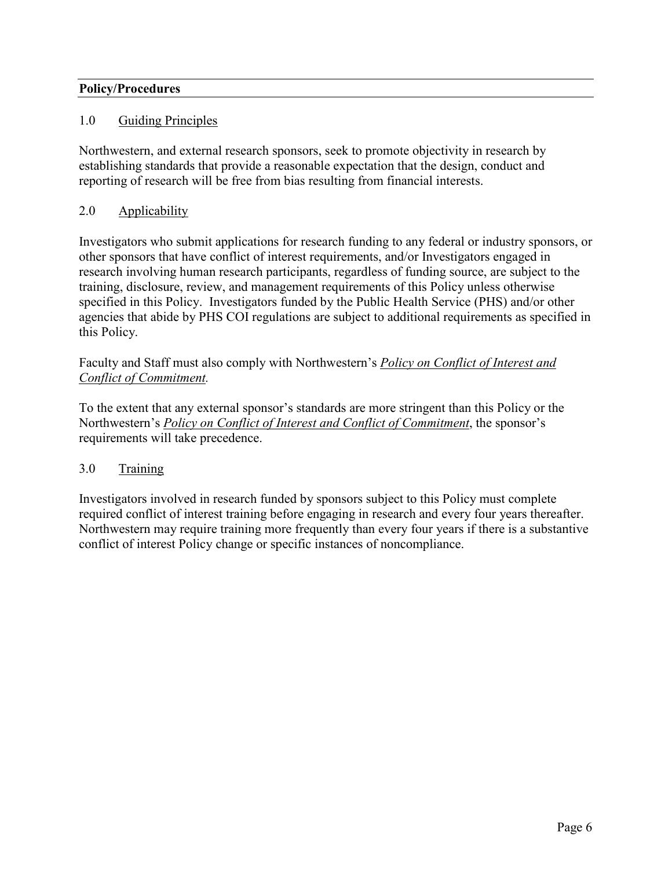# <span id="page-5-0"></span>**Policy/Procedures**

### <span id="page-5-1"></span>1.0 Guiding Principles

Northwestern, and external research sponsors, seek to promote objectivity in research by establishing standards that provide a reasonable expectation that the design, conduct and reporting of research will be free from bias resulting from financial interests.

# <span id="page-5-2"></span>2.0 Applicability

Investigators who submit applications for research funding to any federal or industry sponsors, or other sponsors that have conflict of interest requirements, and/or Investigators engaged in research involving human research participants, regardless of funding source, are subject to the training, disclosure, review, and management requirements of this Policy unless otherwise specified in this Policy. Investigators funded by the Public Health Service (PHS) and/or other agencies that abide by PHS COI regulations are subject to additional requirements as specified in this Policy.

Faculty and Staff must also comply with Northwestern's *[Policy on Conflict of Interest and](https://www.northwestern.edu/coi/docs/core_coi_policy.pdf)  [Conflict of Commitment.](https://www.northwestern.edu/coi/docs/core_coi_policy.pdf)* 

To the extent that any external sponsor's standards are more stringent than this Policy or the Northwestern's *[Policy on Conflict of Interest and Conflict of Commitment](https://www.northwestern.edu/coi/docs/core_coi_policy.pdf)*, the sponsor's requirements will take precedence.

### <span id="page-5-3"></span>3.0 Training

Investigators involved in research funded by sponsors subject to this Policy must complete required conflict of interest training before engaging in research and every four years thereafter. Northwestern may require training more frequently than every four years if there is a substantive conflict of interest Policy change or specific instances of noncompliance.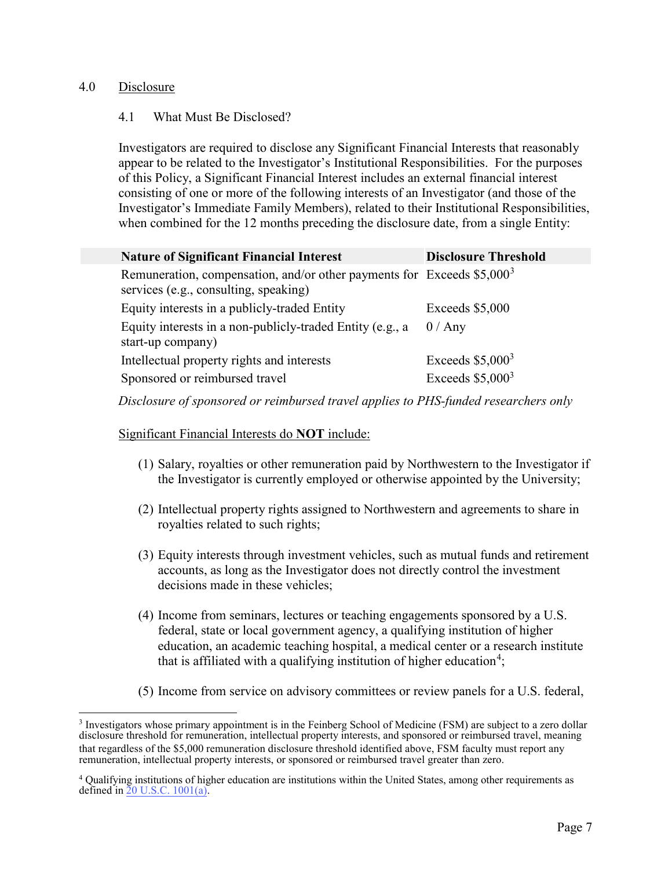### <span id="page-6-0"></span>4.0 Disclosure

### 4.1 What Must Be Disclosed?

Investigators are required to disclose any Significant Financial Interests that reasonably appear to be related to the Investigator's Institutional Responsibilities. For the purposes of this Policy, a Significant Financial Interest includes an external financial interest consisting of one or more of the following interests of an Investigator (and those of the Investigator's Immediate Family Members), related to their Institutional Responsibilities, when combined for the 12 months preceding the disclosure date, from a single Entity:

| <b>Nature of Significant Financial Interest</b>                                                                   | <b>Disclosure Threshold</b> |
|-------------------------------------------------------------------------------------------------------------------|-----------------------------|
| Remuneration, compensation, and/or other payments for Exceeds $$5,000^3$<br>services (e.g., consulting, speaking) |                             |
| Equity interests in a publicly-traded Entity                                                                      | Exceeds \$5,000             |
| Equity interests in a non-publicly-traded Entity (e.g., a<br>start-up company)                                    | 0 / Any                     |
| Intellectual property rights and interests                                                                        | Exceeds $$5,000^3$          |
| Sponsored or reimbursed travel                                                                                    | Exceeds $$5,000^3$          |

*Disclosure of sponsored or reimbursed travel applies to PHS-funded researchers only*

#### Significant Financial Interests do **NOT** include:

- (1) Salary, royalties or other remuneration paid by Northwestern to the Investigator if the Investigator is currently employed or otherwise appointed by the University;
- (2) Intellectual property rights assigned to Northwestern and agreements to share in royalties related to such rights;
- (3) Equity interests through investment vehicles, such as mutual funds and retirement accounts, as long as the Investigator does not directly control the investment decisions made in these vehicles;
- (4) Income from seminars, lectures or teaching engagements sponsored by a U.S. federal, state or local government agency, a qualifying institution of higher education, an academic teaching hospital, a medical center or a research institute that is affiliated with a qualifying institution of higher education<sup>[4](#page-6-2)</sup>;
- (5) Income from service on advisory committees or review panels for a U.S. federal,

<span id="page-6-1"></span><sup>&</sup>lt;sup>3</sup> Investigators whose primary appointment is in the Feinberg School of Medicine (FSM) are subject to a zero dollar disclosure threshold for remuneration, intellectual property interests, and sponsored or reimbursed travel, meaning that regardless of the \$5,000 remuneration disclosure threshold identified above, FSM faculty must report any remuneration, intellectual property interests, or sponsored or reimbursed travel greater than zero.

<span id="page-6-2"></span><sup>4</sup> Qualifying institutions of higher education are institutions within the United States, among other requirements as defined in [20 U.S.C. 1001](https://www.govinfo.gov/content/pkg/USCODE-2012-title20/html/USCODE-2012-title20-chap28-subchapI.htm)(a).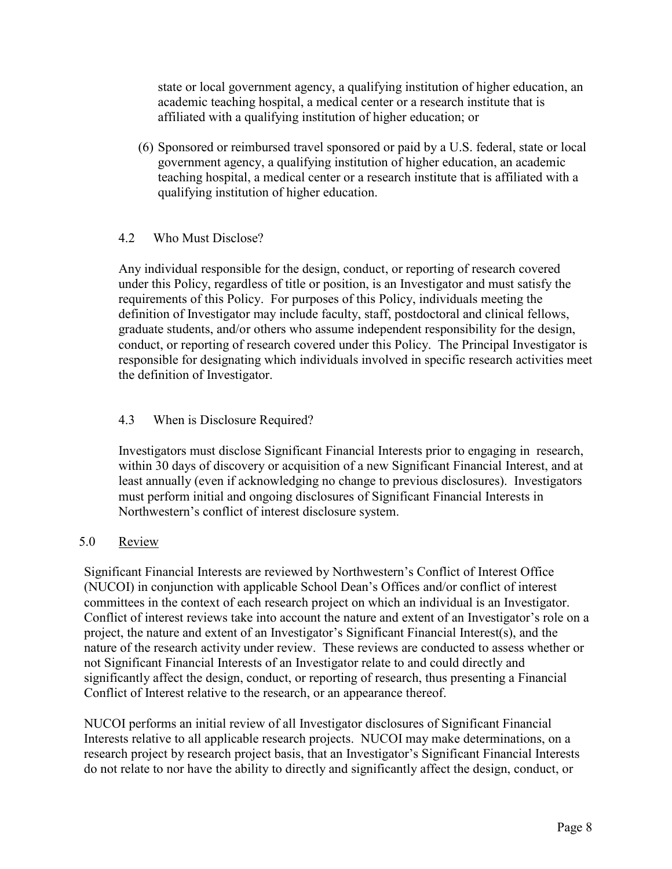state or local government agency, a qualifying institution of higher education, an academic teaching hospital, a medical center or a research institute that is affiliated with a qualifying institution of higher education; or

(6) Sponsored or reimbursed travel sponsored or paid by a U.S. federal, state or local government agency, a qualifying institution of higher education, an academic teaching hospital, a medical center or a research institute that is affiliated with a qualifying institution of higher education.

# 4.2 Who Must Disclose?

Any individual responsible for the design, conduct, or reporting of research covered under this Policy, regardless of title or position, is an Investigator and must satisfy the requirements of this Policy. For purposes of this Policy, individuals meeting the definition of Investigator may include faculty, staff, postdoctoral and clinical fellows, graduate students, and/or others who assume independent responsibility for the design, conduct, or reporting of research covered under this Policy. The Principal Investigator is responsible for designating which individuals involved in specific research activities meet the definition of Investigator.

# 4.3 When is Disclosure Required?

Investigators must disclose Significant Financial Interests prior to engaging in research, within 30 days of discovery or acquisition of a new Significant Financial Interest, and at least annually (even if acknowledging no change to previous disclosures). Investigators must perform initial and ongoing disclosures of Significant Financial Interests in Northwestern's conflict of interest disclosure system.

### <span id="page-7-0"></span>5.0 Review

Significant Financial Interests are reviewed by Northwestern's Conflict of Interest Office (NUCOI) in conjunction with applicable School Dean's Offices and/or conflict of interest committees in the context of each research project on which an individual is an Investigator. Conflict of interest reviews take into account the nature and extent of an Investigator's role on a project, the nature and extent of an Investigator's Significant Financial Interest(s), and the nature of the research activity under review. These reviews are conducted to assess whether or not Significant Financial Interests of an Investigator relate to and could directly and significantly affect the design, conduct, or reporting of research, thus presenting a Financial Conflict of Interest relative to the research, or an appearance thereof.

NUCOI performs an initial review of all Investigator disclosures of Significant Financial Interests relative to all applicable research projects. NUCOI may make determinations, on a research project by research project basis, that an Investigator's Significant Financial Interests do not relate to nor have the ability to directly and significantly affect the design, conduct, or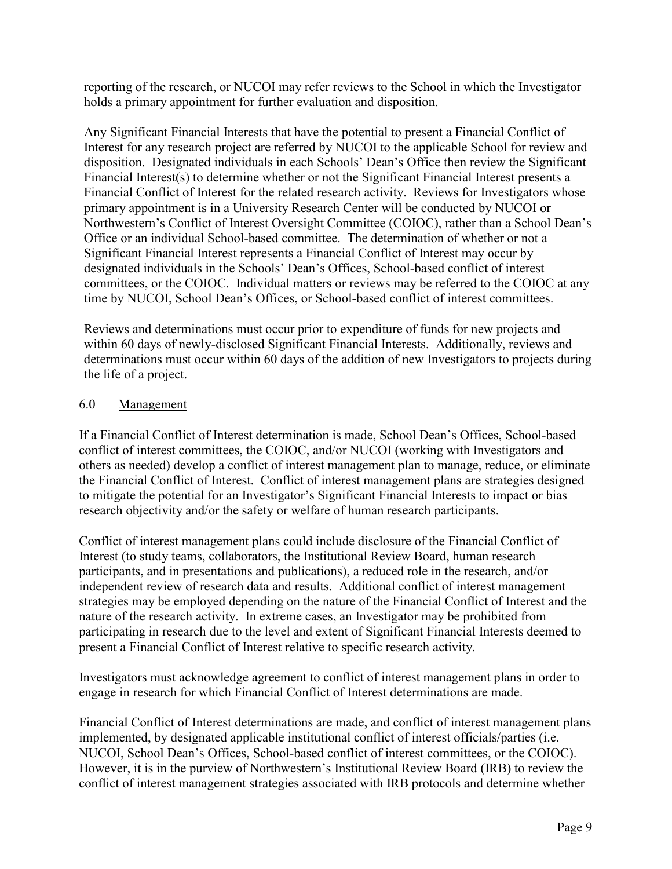reporting of the research, or NUCOI may refer reviews to the School in which the Investigator holds a primary appointment for further evaluation and disposition.

Any Significant Financial Interests that have the potential to present a Financial Conflict of Interest for any research project are referred by NUCOI to the applicable School for review and disposition. Designated individuals in each Schools' Dean's Office then review the Significant Financial Interest(s) to determine whether or not the Significant Financial Interest presents a Financial Conflict of Interest for the related research activity. Reviews for Investigators whose primary appointment is in a University Research Center will be conducted by NUCOI or Northwestern's Conflict of Interest Oversight Committee (COIOC), rather than a School Dean's Office or an individual School-based committee. The determination of whether or not a Significant Financial Interest represents a Financial Conflict of Interest may occur by designated individuals in the Schools' Dean's Offices, School-based conflict of interest committees, or the COIOC. Individual matters or reviews may be referred to the COIOC at any time by NUCOI, School Dean's Offices, or School-based conflict of interest committees.

Reviews and determinations must occur prior to expenditure of funds for new projects and within 60 days of newly-disclosed Significant Financial Interests. Additionally, reviews and determinations must occur within 60 days of the addition of new Investigators to projects during the life of a project.

# <span id="page-8-0"></span>6.0 Management

If a Financial Conflict of Interest determination is made, School Dean's Offices, School-based conflict of interest committees, the COIOC, and/or NUCOI (working with Investigators and others as needed) develop a conflict of interest management plan to manage, reduce, or eliminate the Financial Conflict of Interest. Conflict of interest management plans are strategies designed to mitigate the potential for an Investigator's Significant Financial Interests to impact or bias research objectivity and/or the safety or welfare of human research participants.

Conflict of interest management plans could include disclosure of the Financial Conflict of Interest (to study teams, collaborators, the Institutional Review Board, human research participants, and in presentations and publications), a reduced role in the research, and/or independent review of research data and results. Additional conflict of interest management strategies may be employed depending on the nature of the Financial Conflict of Interest and the nature of the research activity. In extreme cases, an Investigator may be prohibited from participating in research due to the level and extent of Significant Financial Interests deemed to present a Financial Conflict of Interest relative to specific research activity.

Investigators must acknowledge agreement to conflict of interest management plans in order to engage in research for which Financial Conflict of Interest determinations are made.

Financial Conflict of Interest determinations are made, and conflict of interest management plans implemented, by designated applicable institutional conflict of interest officials/parties (i.e. NUCOI, School Dean's Offices, School-based conflict of interest committees, or the COIOC). However, it is in the purview of Northwestern's Institutional Review Board (IRB) to review the conflict of interest management strategies associated with IRB protocols and determine whether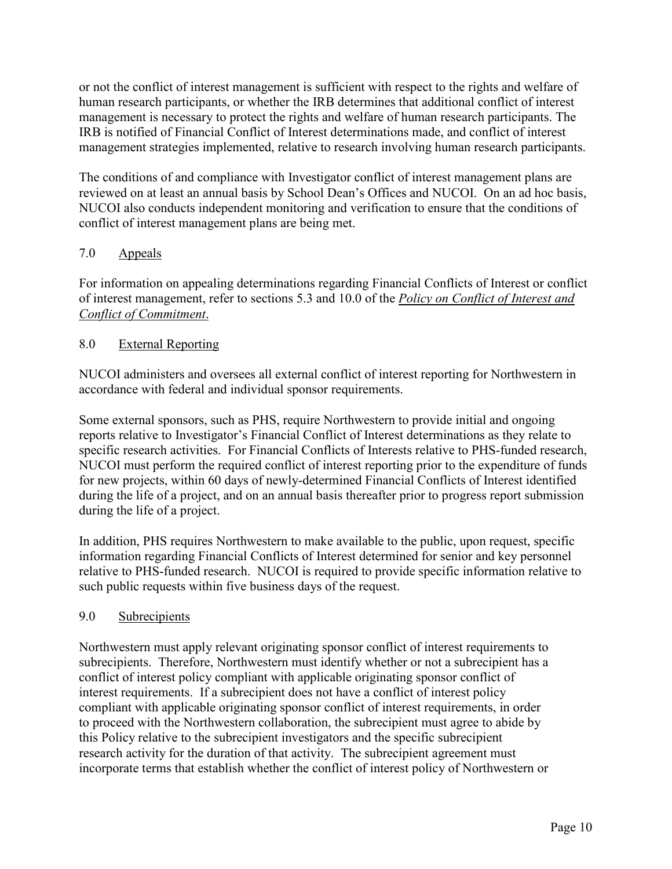or not the conflict of interest management is sufficient with respect to the rights and welfare of human research participants, or whether the IRB determines that additional conflict of interest management is necessary to protect the rights and welfare of human research participants. The IRB is notified of Financial Conflict of Interest determinations made, and conflict of interest management strategies implemented, relative to research involving human research participants.

The conditions of and compliance with Investigator conflict of interest management plans are reviewed on at least an annual basis by School Dean's Offices and NUCOI. On an ad hoc basis, NUCOI also conducts independent monitoring and verification to ensure that the conditions of conflict of interest management plans are being met.

# <span id="page-9-0"></span>7.0 Appeals

For information on appealing determinations regarding Financial Conflicts of Interest or conflict of interest management, refer to sections 5.3 and 10.0 of the *[Policy on Conflict of Interest and](https://www.northwestern.edu/coi/docs/core_coi_policy.pdf)  [Conflict of Commitment](https://www.northwestern.edu/coi/docs/core_coi_policy.pdf)*.

# <span id="page-9-1"></span>8.0 External Reporting

NUCOI administers and oversees all external conflict of interest reporting for Northwestern in accordance with federal and individual sponsor requirements.

Some external sponsors, such as PHS, require Northwestern to provide initial and ongoing reports relative to Investigator's Financial Conflict of Interest determinations as they relate to specific research activities. For Financial Conflicts of Interests relative to PHS-funded research, NUCOI must perform the required conflict of interest reporting prior to the expenditure of funds for new projects, within 60 days of newly-determined Financial Conflicts of Interest identified during the life of a project, and on an annual basis thereafter prior to progress report submission during the life of a project.

In addition, PHS requires Northwestern to make available to the public, upon request, specific information regarding Financial Conflicts of Interest determined for senior and key personnel relative to PHS-funded research. NUCOI is required to provide specific information relative to such public requests within five business days of the request.

# <span id="page-9-2"></span>9.0 Subrecipients

Northwestern must apply relevant originating sponsor conflict of interest requirements to subrecipients. Therefore, Northwestern must identify whether or not a subrecipient has a conflict of interest policy compliant with applicable originating sponsor conflict of interest requirements. If a subrecipient does not have a conflict of interest policy compliant with applicable originating sponsor conflict of interest requirements, in order to proceed with the Northwestern collaboration, the subrecipient must agree to abide by this Policy relative to the subrecipient investigators and the specific subrecipient research activity for the duration of that activity. The subrecipient agreement must incorporate terms that establish whether the conflict of interest policy of Northwestern or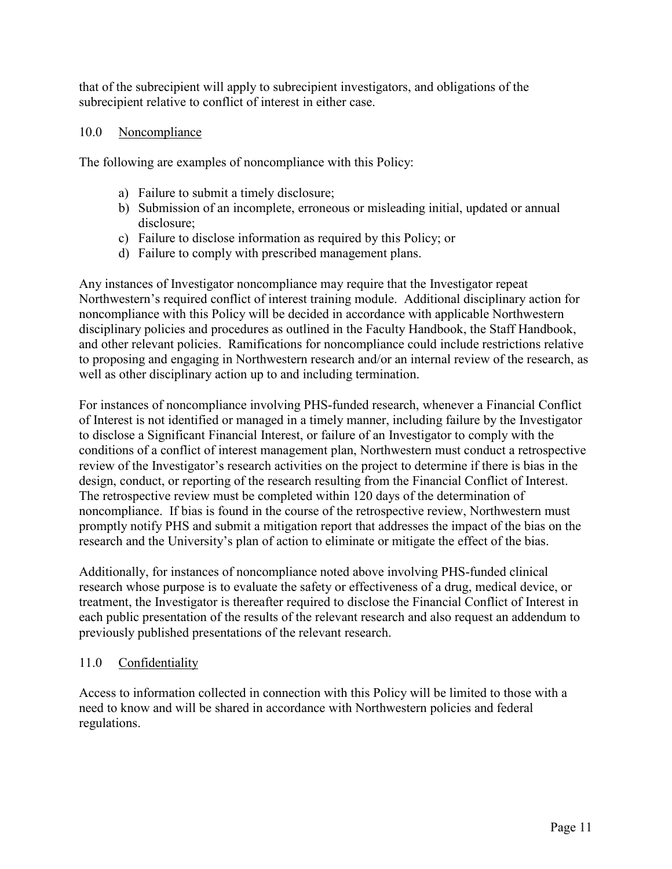that of the subrecipient will apply to subrecipient investigators, and obligations of the subrecipient relative to conflict of interest in either case.

# <span id="page-10-0"></span>10.0 Noncompliance

The following are examples of noncompliance with this Policy:

- a) Failure to submit a timely disclosure;
- b) Submission of an incomplete, erroneous or misleading initial, updated or annual disclosure;
- c) Failure to disclose information as required by this Policy; or
- d) Failure to comply with prescribed management plans.

Any instances of Investigator noncompliance may require that the Investigator repeat Northwestern's required conflict of interest training module. Additional disciplinary action for noncompliance with this Policy will be decided in accordance with applicable Northwestern disciplinary policies and procedures as outlined in the Faculty Handbook, the Staff Handbook, and other relevant policies. Ramifications for noncompliance could include restrictions relative to proposing and engaging in Northwestern research and/or an internal review of the research, as well as other disciplinary action up to and including termination.

For instances of noncompliance involving PHS-funded research, whenever a Financial Conflict of Interest is not identified or managed in a timely manner, including failure by the Investigator to disclose a Significant Financial Interest, or failure of an Investigator to comply with the conditions of a conflict of interest management plan, Northwestern must conduct a retrospective review of the Investigator's research activities on the project to determine if there is bias in the design, conduct, or reporting of the research resulting from the Financial Conflict of Interest. The retrospective review must be completed within 120 days of the determination of noncompliance. If bias is found in the course of the retrospective review, Northwestern must promptly notify PHS and submit a mitigation report that addresses the impact of the bias on the research and the University's plan of action to eliminate or mitigate the effect of the bias.

Additionally, for instances of noncompliance noted above involving PHS-funded clinical research whose purpose is to evaluate the safety or effectiveness of a drug, medical device, or treatment, the Investigator is thereafter required to disclose the Financial Conflict of Interest in each public presentation of the results of the relevant research and also request an addendum to previously published presentations of the relevant research.

### <span id="page-10-1"></span>11.0 Confidentiality

Access to information collected in connection with this Policy will be limited to those with a need to know and will be shared in accordance with Northwestern policies and federal regulations.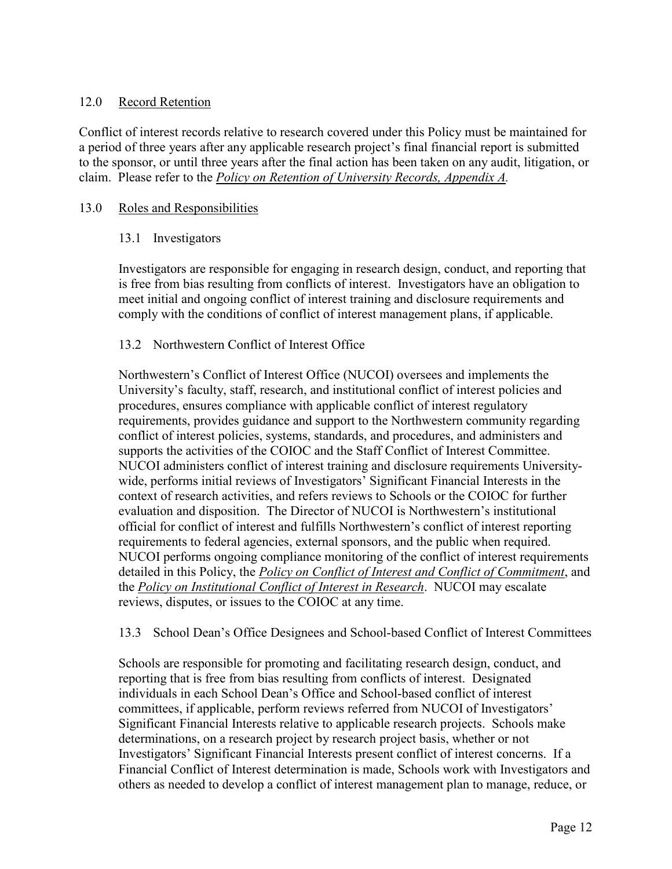# <span id="page-11-0"></span>12.0 Record Retention

Conflict of interest records relative to research covered under this Policy must be maintained for a period of three years after any applicable research project's final financial report is submitted to the sponsor, or until three years after the final action has been taken on any audit, litigation, or claim. Please refer to the *[Policy on Retention of University Records, Appendix A.](http://policies.northwestern.edu/docs/RUR_Appendix_A061913.pdf)*

# <span id="page-11-1"></span>13.0 Roles and Responsibilities

# 13.1 Investigators

Investigators are responsible for engaging in research design, conduct, and reporting that is free from bias resulting from conflicts of interest. Investigators have an obligation to meet initial and ongoing conflict of interest training and disclosure requirements and comply with the conditions of conflict of interest management plans, if applicable.

# 13.2 Northwestern Conflict of Interest Office

Northwestern's Conflict of Interest Office (NUCOI) oversees and implements the University's faculty, staff, research, and institutional conflict of interest policies and procedures, ensures compliance with applicable conflict of interest regulatory requirements, provides guidance and support to the Northwestern community regarding conflict of interest policies, systems, standards, and procedures, and administers and supports the activities of the COIOC and the Staff Conflict of Interest Committee. NUCOI administers conflict of interest training and disclosure requirements Universitywide, performs initial reviews of Investigators' Significant Financial Interests in the context of research activities, and refers reviews to Schools or the COIOC for further evaluation and disposition. The Director of NUCOI is Northwestern's institutional official for conflict of interest and fulfills Northwestern's conflict of interest reporting requirements to federal agencies, external sponsors, and the public when required. NUCOI performs ongoing compliance monitoring of the conflict of interest requirements detailed in this Policy, the *[Policy on Conflict of Interest and Conflict of Commitment](https://www.northwestern.edu/coi/docs/core_coi_policy.pdf)*, and the *[Policy on Institutional Conflict of Interest in Research](https://www.northwestern.edu/coi/policy/institutional_policy.pdf)*. NUCOI may escalate reviews, disputes, or issues to the COIOC at any time.

13.3 School Dean's Office Designees and School-based Conflict of Interest Committees

Schools are responsible for promoting and facilitating research design, conduct, and reporting that is free from bias resulting from conflicts of interest. Designated individuals in each School Dean's Office and School-based conflict of interest committees, if applicable, perform reviews referred from NUCOI of Investigators' Significant Financial Interests relative to applicable research projects. Schools make determinations, on a research project by research project basis, whether or not Investigators' Significant Financial Interests present conflict of interest concerns. If a Financial Conflict of Interest determination is made, Schools work with Investigators and others as needed to develop a conflict of interest management plan to manage, reduce, or